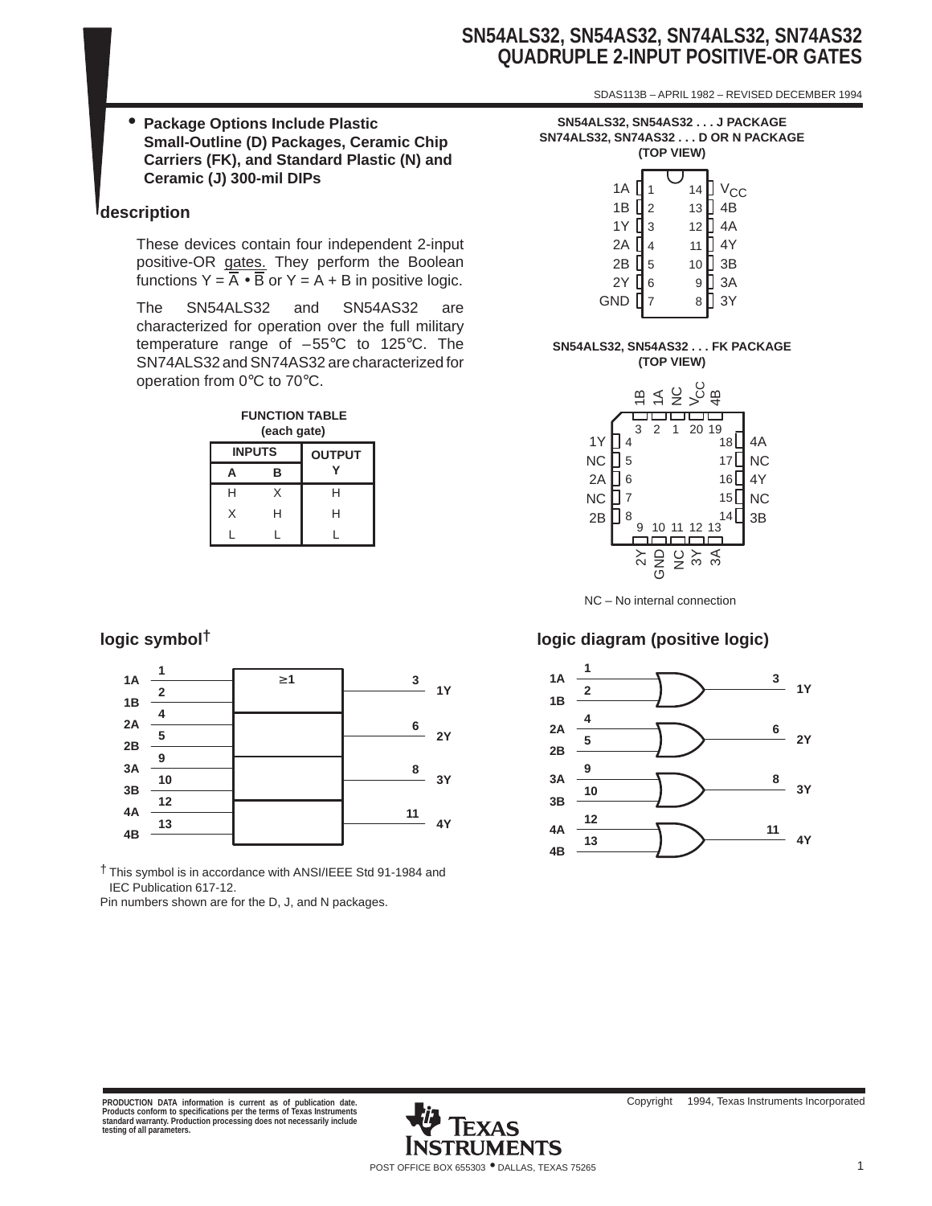# **SN54ALS32, SN54AS32, SN74ALS32, SN74AS32 QUADRUPLE 2-INPUT POSITIVE-OR GATES**

SDAS113B – APRIL 1982 – REVISED DECEMBER 1994

• **Package Options Include Plastic Small-Outline (D) Packages, Ceramic Chip Carriers (FK), and Standard Plastic (N) and Ceramic (J) 300-mil DIPs**

## **description**

These devices contain four independent 2-input positive-OR gates. They perform the Boolean functions  $Y = \overline{A} \cdot \overline{B}$  or  $Y = A + B$  in positive logic.

The SN54ALS32 and SN54AS32 are characterized for operation over the full military temperature range of –55°C to 125°C. The SN74ALS32 and SN74AS32 are characterized for operation from 0°C to 70°C.

| <b>FUNCTION TABLE</b><br>(each gate) |               |               |  |  |  |  |
|--------------------------------------|---------------|---------------|--|--|--|--|
|                                      | <b>INPUTS</b> | <b>OUTPUT</b> |  |  |  |  |
| A                                    | в             |               |  |  |  |  |
| н                                    | X             | н             |  |  |  |  |
| X                                    | н             | н             |  |  |  |  |
|                                      |               |               |  |  |  |  |



† This symbol is in accordance with ANSI/IEEE Std 91-1984 and IEC Publication 617-12.

Pin numbers shown are for the D, J, and N packages.

| SN54ALS32, SN54AS32 J PACKAGE      |  |
|------------------------------------|--|
| SN74ALS32, SN74AS32 D OR N PACKAGE |  |
| (TOP VIEW)                         |  |

| 1A<br>1B [ | 1<br>$\mathbf{I}_2$ | 14<br>13 | $\frac{V_{CC}}{4B}$ |
|------------|---------------------|----------|---------------------|
| 1Y         | 3                   | 12       | 4A                  |
| 2A         |                     | 11       | 4Y                  |
| 2B         | 5                   | 10       | 3B                  |
| 2Y         | 6                   | 9        | 3A                  |
| GND        | $\overline{7}$      | 8        | 3Y                  |

#### **SN54ALS32, SN54AS32 . . . FK PACKAGE (TOP VIEW)**



# **logic symbol† logic diagram (positive logic)**

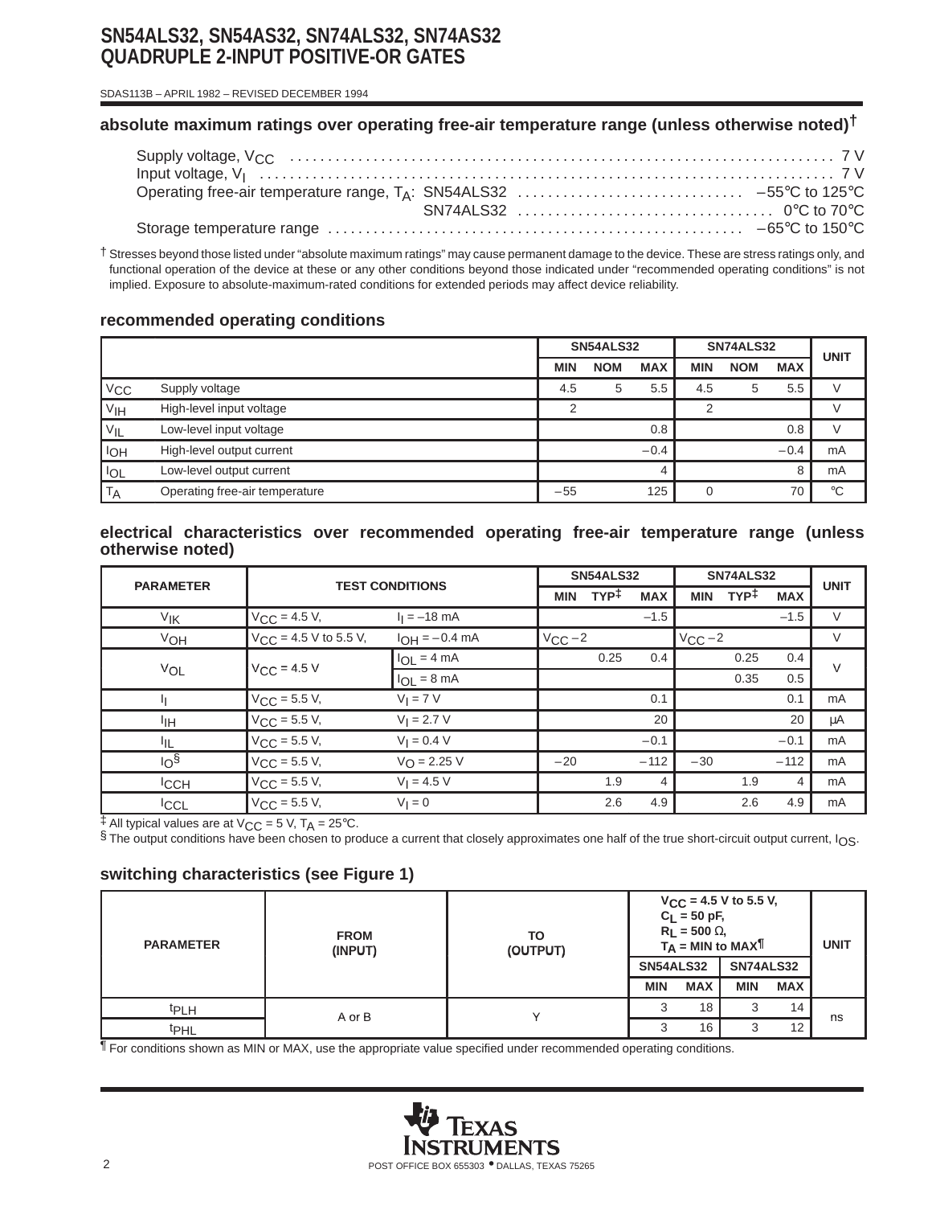# **SN54ALS32, SN54AS32, SN74ALS32, SN74AS32 QUADRUPLE 2-INPUT POSITIVE-OR GATES**

 SDAS113B – APRIL 1982 – REVISED DECEMBER 1994

## **absolute maximum ratings over operating free-air temperature range (unless otherwise noted)†**

† Stresses beyond those listed under "absolute maximum ratings" may cause permanent damage to the device. These are stress ratings only, and functional operation of the device at these or any other conditions beyond those indicated under "recommended operating conditions" is not implied. Exposure to absolute-maximum-rated conditions for extended periods may affect device reliability.

## **recommended operating conditions**

|                  |                                | <b>SN54ALS32</b> |            | SN74ALS32  | <b>UNIT</b> |            |            |             |
|------------------|--------------------------------|------------------|------------|------------|-------------|------------|------------|-------------|
|                  |                                | <b>MIN</b>       | <b>NOM</b> | <b>MAX</b> | <b>MIN</b>  | <b>NOM</b> | <b>MAX</b> |             |
| $V_{CC}$         | Supply voltage                 | 4.5              | 5          | 5.5        | 4.5         | 5          | 5.5        |             |
| V <sub>IH</sub>  | High-level input voltage       | $\mathcal{P}$    |            |            | ◠           |            |            |             |
| VIL              | Low-level input voltage        |                  |            | 0.8        |             |            | 0.8        |             |
| l <sub>OH</sub>  | High-level output current      |                  |            | $-0.4$     |             |            | $-0.4$     | mA          |
| <b>IOL</b>       | Low-level output current       |                  |            |            |             |            | 8          | mA          |
| ' T <sub>A</sub> | Operating free-air temperature | $-55$            |            | 125        |             |            | 70         | $^{\circ}C$ |

#### **electrical characteristics over recommended operating free-air temperature range (unless otherwise noted)**

| <b>PARAMETER</b> |                            |                         |             | <b>SN54ALS32</b> |            |             | <b>SN74ALS32</b> |            |             |
|------------------|----------------------------|-------------------------|-------------|------------------|------------|-------------|------------------|------------|-------------|
|                  | <b>TEST CONDITIONS</b>     |                         | <b>MIN</b>  | TYP <sup>‡</sup> | <b>MAX</b> | <b>MIN</b>  | TYP <sup>‡</sup> | <b>MAX</b> | <b>UNIT</b> |
| VIK              | $V_{\text{CC}} = 4.5 V,$   | $I_1 = -18$ mA          |             |                  | $-1.5$     |             |                  | $-1.5$     | V           |
| VOH              | $V_{CC}$ = 4.5 V to 5.5 V, | $I_{OH} = -0.4$ mA      | $V_{CC}$ -2 |                  |            | $V_{CC}$ -2 |                  |            | V           |
|                  | $V_{C}C = 4.5 V$           | $I_{OL} = 4 mA$         |             | 0.25             | 0.4        |             | 0.25             | 0.4        | $\vee$      |
| VOL              |                            | $I_{OL} = 8 \text{ mA}$ |             |                  |            |             | 0.35             | 0.5        |             |
| и                | $V_{CC}$ = 5.5 V,          | $V_I = 7 V$             |             |                  | 0.1        |             |                  | 0.1        | mA          |
| ŀщ               | $V_{\rm CC}$ = 5.5 V,      | $V_1 = 2.7 V$           |             |                  | 20         |             |                  | 20         | μA          |
| ЧL               | $V_{\text{CC}} = 5.5 V,$   | $V_1 = 0.4 V$           |             |                  | $-0.1$     |             |                  | $-0.1$     | mA          |
| 10 <sup>5</sup>  | $V_{CC} = 5.5 V,$          | $V_{\Omega} = 2.25 V$   | $-20$       |                  | $-112$     | $-30$       |                  | $-112$     | mA          |
| <sup>I</sup> CCH | $V_{\text{CC}} = 5.5 V,$   | $V_1 = 4.5 V$           |             | 1.9              | 4          |             | 1.9              | 4          | mA          |
| <b>ICCL</b>      | $V_{C}C = 5.5 V$ ,         | $V_1 = 0$               |             | 2.6              | 4.9        |             | 2.6              | 4.9        | mA          |

 $\pm$  All typical values are at V<sub>CC</sub> = 5 V, T<sub>A</sub> = 25°C.

§ The output conditions have been chosen to produce a current that closely approximates one half of the true short-circuit output current, IOS.

# **switching characteristics (see Figure 1)**

| <b>PARAMETER</b> | <b>FROM</b><br>(INPUT) | TO<br>(OUTPUT) | $V_{CC}$ = 4.5 V to 5.5 V,<br>$C_L = 50$ pF,<br>$R_L$ = 500 $\Omega$ ,<br>$T_A = MIN to MAXT$ |            |                  |            | <b>UNIT</b> |
|------------------|------------------------|----------------|-----------------------------------------------------------------------------------------------|------------|------------------|------------|-------------|
|                  |                        |                | SN54ALS32                                                                                     |            | <b>SN74ALS32</b> |            |             |
|                  |                        |                | <b>MIN</b>                                                                                    | <b>MAX</b> | <b>MIN</b>       | <b>MAX</b> |             |
| <b>t</b> PLH     | A or B                 |                |                                                                                               | 18         | 3                | 14         |             |
| <sup>t</sup> PHL |                        |                |                                                                                               | 16         | 3                | 12         | ns          |

¶ For conditions shown as MIN or MAX, use the appropriate value specified under recommended operating conditions.

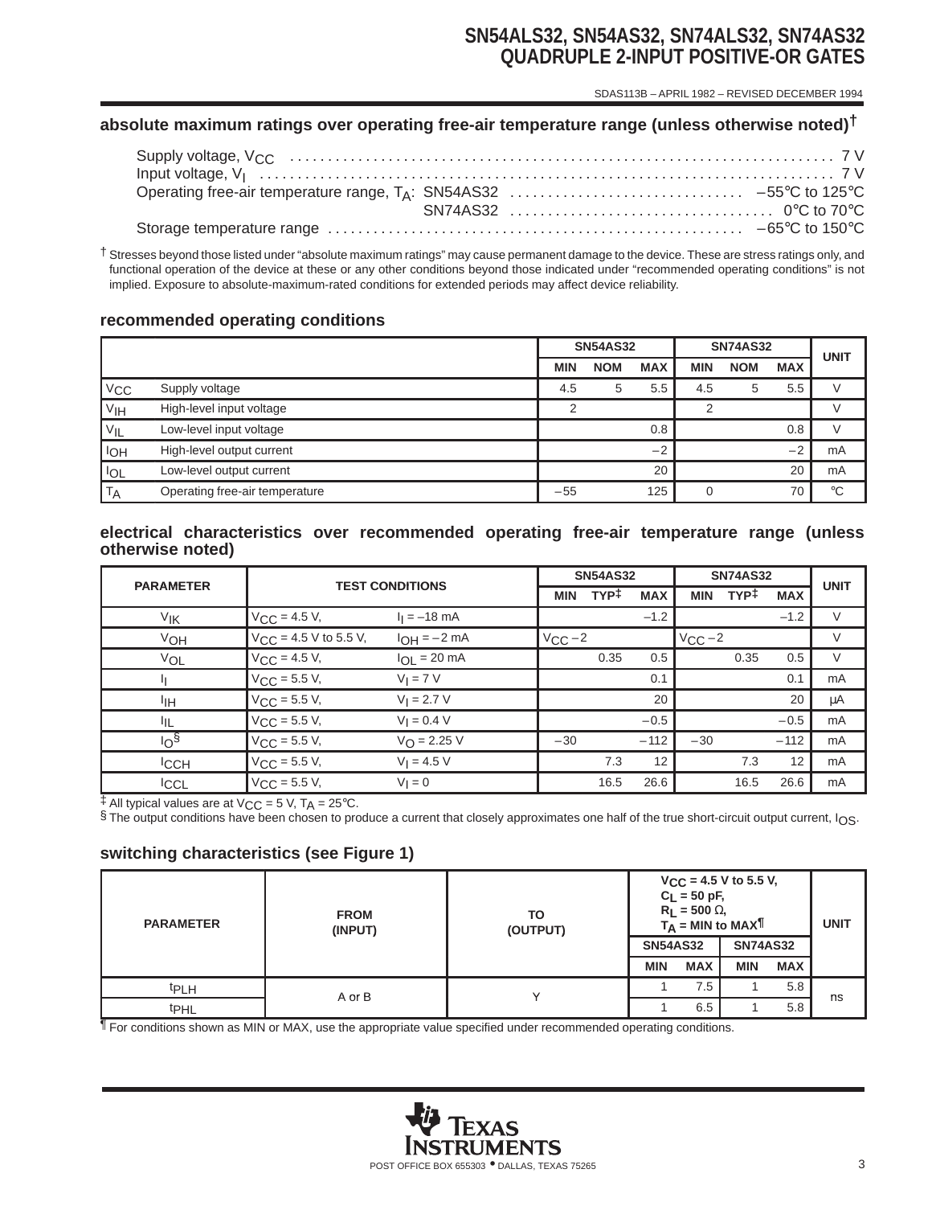# **SN54ALS32, SN54AS32, SN74ALS32, SN74AS32 QUADRUPLE 2-INPUT POSITIVE-OR GATES**

SDAS113B – APRIL 1982 – REVISED DECEMBER 1994

## **absolute maximum ratings over operating free-air temperature range (unless otherwise noted)†**

† Stresses beyond those listed under "absolute maximum ratings" may cause permanent damage to the device. These are stress ratings only, and functional operation of the device at these or any other conditions beyond those indicated under "recommended operating conditions" is not implied. Exposure to absolute-maximum-rated conditions for extended periods may affect device reliability.

### **recommended operating conditions**

|                   |                                | <b>SN54AS32</b> |            | <b>SN74AS32</b> |            |            | <b>UNIT</b> |             |
|-------------------|--------------------------------|-----------------|------------|-----------------|------------|------------|-------------|-------------|
|                   |                                | <b>MIN</b>      | <b>NOM</b> | <b>MAX</b>      | <b>MIN</b> | <b>NOM</b> | <b>MAX</b>  |             |
| $V_{\rm CC}$      | Supply voltage                 | 4.5             | 5          | 5.5             | 4.5        | 5          | 5.5         |             |
| V <sub>IH</sub>   | High-level input voltage       | $\mathcal{P}$   |            |                 | ⌒          |            |             |             |
| $V_{\mathsf{IL}}$ | Low-level input voltage        |                 |            | 0.8             |            |            | 0.8         |             |
| <b>IOH</b>        | High-level output current      |                 |            | $-2$            |            |            | $-2$        | mA          |
| <b>IOL</b>        | Low-level output current       |                 |            | 20              |            |            | 20          | mA          |
| <b>TA</b>         | Operating free-air temperature | $-55$           |            | 125             |            |            | 70          | $^{\circ}C$ |

#### **electrical characteristics over recommended operating free-air temperature range (unless otherwise noted)**

| <b>PARAMETER</b> | <b>TEST CONDITIONS</b>            |                       |              | <b>SN54AS32</b>  |            |             | <b>SN74AS32</b>  |            |             |
|------------------|-----------------------------------|-----------------------|--------------|------------------|------------|-------------|------------------|------------|-------------|
|                  |                                   |                       | <b>MIN</b>   | TYP <sup>‡</sup> | <b>MAX</b> | <b>MIN</b>  | TYP <sup>‡</sup> | <b>MAX</b> | <b>UNIT</b> |
| VIK              | $V_{\text{CC}} = 4.5 V,$          | $I_1 = -18$ mA        |              |                  | $-1.2$     |             |                  | $-1.2$     | $\vee$      |
| VOH              | $V_{\text{CC}}$ = 4.5 V to 5.5 V, | $I_{OH} = -2 mA$      | $V_{CC} - 2$ |                  |            | $V_{CC}$ -2 |                  |            | $\vee$      |
| VOL              | $V_{CC} = 4.5 V,$                 | $I_{OL}$ = 20 mA      |              | 0.35             | 0.5        |             | 0.35             | 0.5        | V           |
|                  | $V_{\text{CC}} = 5.5 V,$          | $V_I = 7 V$           |              |                  | 0.1        |             |                  | 0.1        | mA          |
| ŀщ               | $V_{\rm CC}$ = 5.5 V,             | $V_1 = 2.7 V$         |              |                  | 20         |             |                  | 20         | μA          |
| ŀщ               | $V_{\text{CC}} = 5.5 V,$          | $V_1 = 0.4 V$         |              |                  | $-0.5$     |             |                  | $-0.5$     | mA          |
| 10 <sup>5</sup>  | $V_{\text{CC}} = 5.5 V,$          | $V_{\Omega} = 2.25 V$ | $-30$        |                  | $-112$     | $-30$       |                  | $-112$     | mA          |
| <b>ICCH</b>      | $V_{\text{CC}} = 5.5 V,$          | $V_1 = 4.5 V$         |              | 7.3              | 12         |             | 7.3              | 12         | mA          |
| <b>ICCL</b>      | $V_{CC}$ = 5.5 V,                 | $V_1 = 0$             |              | 16.5             | 26.6       |             | 16.5             | 26.6       | mA          |

 $\ddagger$  All typical values are at V<sub>CC</sub> = 5 V, T<sub>A</sub> = 25°C.

§ The output conditions have been chosen to produce a current that closely approximates one half of the true short-circuit output current, IOS.

### **switching characteristics (see Figure 1)**

| <b>PARAMETER</b> | <b>FROM</b><br>(INPUT) | TO<br>(OUTPUT) | $V_{CC}$ = 4.5 V to 5.5 V,<br>$C_L = 50 pF,$<br>$R_L$ = 500 $\Omega$ ,<br>$T_A = MIN to MAX$ |            |                 |            | <b>UNIT</b> |
|------------------|------------------------|----------------|----------------------------------------------------------------------------------------------|------------|-----------------|------------|-------------|
|                  |                        |                | <b>SN54AS32</b>                                                                              |            | <b>SN74AS32</b> |            |             |
|                  |                        |                | <b>MIN</b>                                                                                   | <b>MAX</b> | <b>MIN</b>      | <b>MAX</b> |             |
| <sup>t</sup> PLH | A or B                 |                |                                                                                              | 7.5        |                 | 5.8        | ns          |
| t <sub>PHL</sub> |                        |                |                                                                                              | 6.5        |                 | 5.8        |             |

 $\P$  For conditions shown as MIN or MAX, use the appropriate value specified under recommended operating conditions.